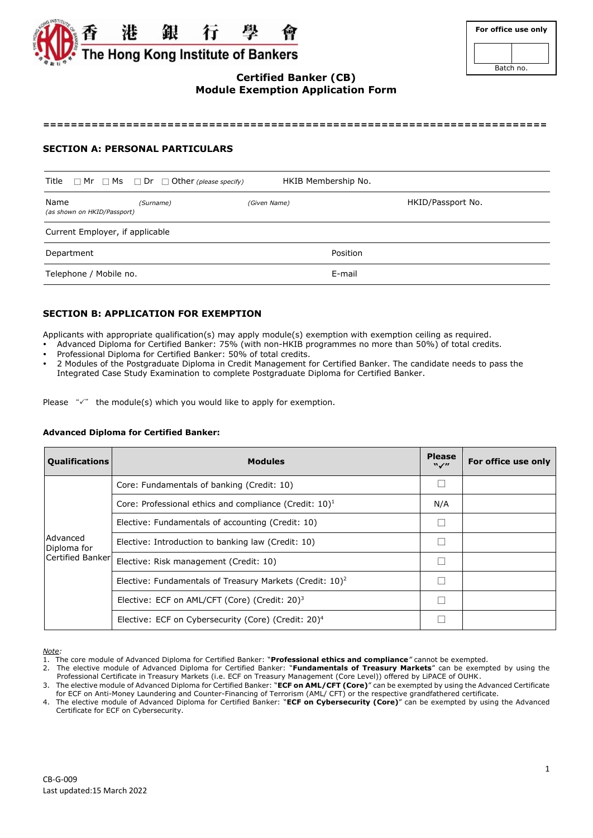

| For office use only |  |  |  |  |
|---------------------|--|--|--|--|
|                     |  |  |  |  |
| Batch no.           |  |  |  |  |

# **Certified Banker (CB) Module Exemption Application Form**

**=========================================================================**

### **SECTION A: PERSONAL PARTICULARS**

|                                     | Title $\Box$ Mr $\Box$ Ms $\Box$ Dr $\Box$ Other (please specify) | HKIB Membership No. |                   |
|-------------------------------------|-------------------------------------------------------------------|---------------------|-------------------|
| Name<br>(as shown on HKID/Passport) | (Surname)                                                         | (Given Name)        | HKID/Passport No. |
| Current Employer, if applicable     |                                                                   |                     |                   |
| Department                          |                                                                   | Position            |                   |
| Telephone / Mobile no.              |                                                                   | E-mail              |                   |

## **SECTION B: APPLICATION FOR EXEMPTION**

Applicants with appropriate qualification(s) may apply module(s) exemption with exemption ceiling as required.

- Advanced Diploma for Certified Banker: 75% (with non-HKIB programmes no more than 50%) of total credits.
- Professional Diploma for Certified Banker: 50% of total credits.
- 2 Modules of the Postgraduate Diploma in Credit Management for Certified Banker. The candidate needs to pass the Integrated Case Study Examination to complete Postgraduate Diploma for Certified Banker.

Please  $\sqrt{x}$  the module(s) which you would like to apply for exemption.

#### **Advanced Diploma for Certified Banker:**

| <b>Qualifications</b>   | <b>Modules</b>                                                                                                                                                                                                                                                           | <b>Please</b><br>$\mathbf{W}$ | For office use only |
|-------------------------|--------------------------------------------------------------------------------------------------------------------------------------------------------------------------------------------------------------------------------------------------------------------------|-------------------------------|---------------------|
|                         | Core: Fundamentals of banking (Credit: 10)<br>Core: Professional ethics and compliance (Credit: $10$ ) <sup>1</sup><br>Elective: Fundamentals of accounting (Credit: 10)<br>Elective: Introduction to banking law (Credit: 10)<br>Elective: Risk management (Credit: 10) |                               |                     |
|                         |                                                                                                                                                                                                                                                                          | N/A                           |                     |
|                         |                                                                                                                                                                                                                                                                          |                               |                     |
| Advanced<br>Diploma for |                                                                                                                                                                                                                                                                          |                               |                     |
| Certified Banker        |                                                                                                                                                                                                                                                                          |                               |                     |
|                         | Elective: Fundamentals of Treasury Markets (Credit: 10) <sup>2</sup>                                                                                                                                                                                                     |                               |                     |
|                         | Elective: ECF on AML/CFT (Core) (Credit: 20) <sup>3</sup>                                                                                                                                                                                                                |                               |                     |
|                         | Elective: ECF on Cybersecurity (Core) (Credit: 20) <sup>4</sup>                                                                                                                                                                                                          |                               |                     |

*Note:* 

<sup>1.</sup> The core module of Advanced Diploma for Certified Banker: "**Professional ethics and compliance***"* cannot be exempted.

<sup>2.</sup> The elective module of Advanced Diploma for Certified Banker: "**Fundamentals of Treasury Markets**" can be exempted by using the Professional Certificate in Treasury Markets (i.e. ECF on Treasury Management (Core Level)) offered by LiPACE of OUHK.

<sup>3.</sup> The elective module of Advanced Diploma for Certified Banker: "**ECF on AML/CFT (Core)**" can be exempted by using the Advanced Certificate for ECF on Anti-Money Laundering and Counter-Financing of Terrorism (AML/ CFT) or the respective grandfathered certificate.

<sup>4.</sup> The elective module of Advanced Diploma for Certified Banker: "**ECF on Cybersecurity (Core)**" can be exempted by using the Advanced Certificate for ECF on Cybersecurity.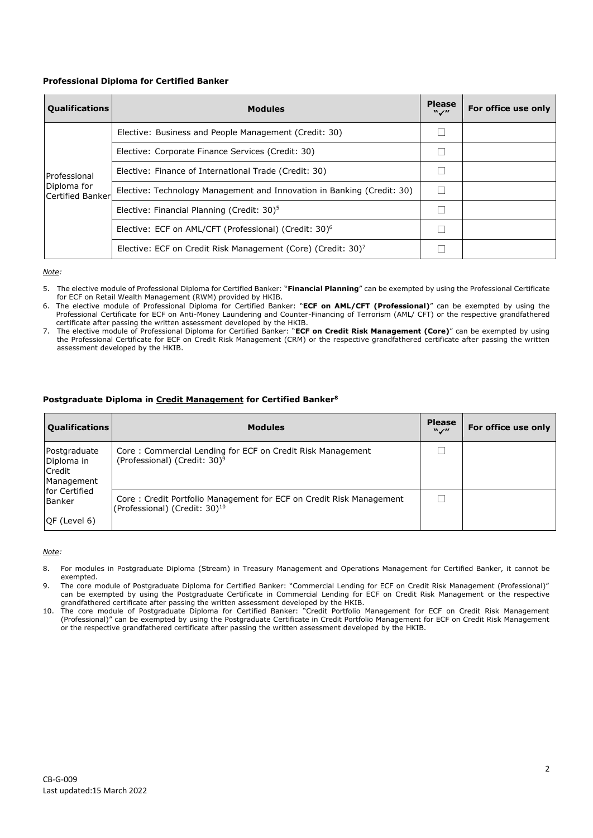### **Professional Diploma for Certified Banker**

| <b>Qualifications</b>           | <b>Modules</b>                                                           | <b>Please</b><br>$\mathbf{W}$ | For office use only |
|---------------------------------|--------------------------------------------------------------------------|-------------------------------|---------------------|
|                                 | Elective: Business and People Management (Credit: 30)                    |                               |                     |
|                                 | Elective: Corporate Finance Services (Credit: 30)                        |                               |                     |
| Professional                    | Elective: Finance of International Trade (Credit: 30)                    |                               |                     |
| Diploma for<br>Certified Banker | Elective: Technology Management and Innovation in Banking (Credit: 30)   | H                             |                     |
|                                 | Elective: Financial Planning (Credit: 30) <sup>5</sup>                   |                               |                     |
|                                 | Elective: ECF on AML/CFT (Professional) (Credit: 30) <sup>6</sup>        |                               |                     |
|                                 | Elective: ECF on Credit Risk Management (Core) (Credit: 30) <sup>7</sup> |                               |                     |

*Note:* 

- 5. The elective module of Professional Diploma for Certified Banker: "**Financial Planning**" can be exempted by using the Professional Certificate for ECF on Retail Wealth Management (RWM) provided by HKIB.
- 6. The elective module of Professional Diploma for Certified Banker: "**ECF on AML/CFT (Professional)**" can be exempted by using the Professional Certificate for ECF on Anti-Money Laundering and Counter-Financing of Terrorism (AML/ CFT) or the respective grandfathered certificate after passing the written assessment developed by the HKIB.
- 7. The elective module of Professional Diploma for Certified Banker: "**ECF on Credit Risk Management (Core)**" can be exempted by using the Professional Certificate for ECF on Credit Risk Management (CRM) or the respective grandfathered certificate after passing the written assessment developed by the HKIB.

### **Postgraduate Diploma in Credit Management for Certified Banker<sup>8</sup>**

| <b>Qualifications</b>                              | <b>Modules</b>                                                                                                   | <b>Please</b><br>$W \swarrow H$ | For office use only |
|----------------------------------------------------|------------------------------------------------------------------------------------------------------------------|---------------------------------|---------------------|
| Postgraduate<br>Diploma in<br>Credit<br>Management | Core: Commercial Lending for ECF on Credit Risk Management<br>(Professional) (Credit: 30) <sup>9</sup>           |                                 |                     |
| <b>Ifor Certified</b><br>Banker<br>OF (Level 6)    | Core: Credit Portfolio Management for ECF on Credit Risk Management<br>(Professional) (Credit: 30) <sup>10</sup> |                                 |                     |

#### *Note:*

- 8. For modules in Postgraduate Diploma (Stream) in Treasury Management and Operations Management for Certified Banker, it cannot be exempted.
- 9. The core module of Postgraduate Diploma for Certified Banker: "Commercial Lending for ECF on Credit Risk Management (Professional)" can be exempted by using the Postgraduate Certificate in Commercial Lending for ECF on Credit Risk Management or the respective grandfathered certificate after passing the written assessment developed by the HKIB.
- 10. The core module of Postgraduate Diploma for Certified Banker: "Credit Portfolio Management for ECF on Credit Risk Management (Professional)" can be exempted by using the Postgraduate Certificate in Credit Portfolio Management for ECF on Credit Risk Management or the respective grandfathered certificate after passing the written assessment developed by the HKIB.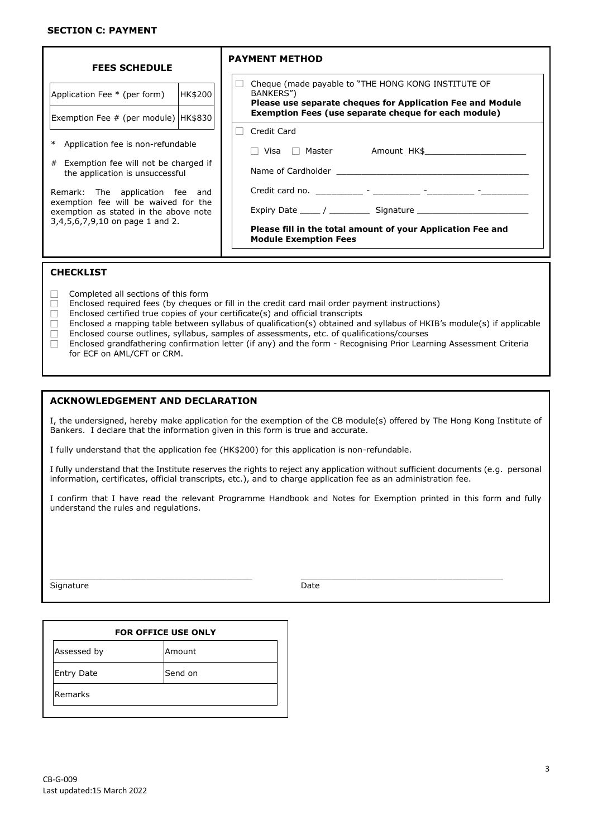| <b>FEES SCHEDULE</b>                                                                                                                                |         | <b>PAYMENT METHOD</b>                                                                                                                                                                                                         |  |  |
|-----------------------------------------------------------------------------------------------------------------------------------------------------|---------|-------------------------------------------------------------------------------------------------------------------------------------------------------------------------------------------------------------------------------|--|--|
| Application Fee * (per form)                                                                                                                        | HK\$200 | Cheque (made payable to "THE HONG KONG INSTITUTE OF<br>BANKERS")<br>Please use separate cheques for Application Fee and Module<br>Exemption Fees (use separate cheque for each module)                                        |  |  |
| Exemption Fee # (per module) HK\$830                                                                                                                |         | Credit Card                                                                                                                                                                                                                   |  |  |
| * Application fee is non-refundable                                                                                                                 |         |                                                                                                                                                                                                                               |  |  |
| # Exemption fee will not be charged if<br>the application is unsuccessful                                                                           |         | Name of Cardholder and the state of the state of the state of the state of the state of the state of the state of the state of the state of the state of the state of the state of the state of the state of the state of the |  |  |
| Remark: The application fee and<br>exemption fee will be waived for the<br>exemption as stated in the above note<br>3,4,5,6,7,9,10 on page 1 and 2. |         |                                                                                                                                                                                                                               |  |  |
|                                                                                                                                                     |         |                                                                                                                                                                                                                               |  |  |
|                                                                                                                                                     |         | Please fill in the total amount of your Application Fee and<br><b>Module Exemption Fees</b>                                                                                                                                   |  |  |
| <b>CHECKLIST</b>                                                                                                                                    |         |                                                                                                                                                                                                                               |  |  |

- $\Box$  Completed all sections of this form
- $\Box$  Enclosed required fees (by cheques or fill in the credit card mail order payment instructions)
- $\Box$  Enclosed certified true copies of your certificate(s) and official transcripts
- $\Box$  Enclosed a mapping table between syllabus of qualification(s) obtained and syllabus of HKIB's module(s) if applicable  $\Box$  Enclosed course outlines, syllabus, samples of assessments, etc. of qualifications/courses
- $\Box$  Enclosed course outlines, syllabus, samples of assessments, etc. of qualifications/courses  $\Box$  Enclosed grandfathering confirmation letter (if any) and the form Recognising Prior Lear
- Enclosed grandfathering confirmation letter (if any) and the form Recognising Prior Learning Assessment Criteria for ECF on AML/CFT or CRM.

### **ACKNOWLEDGEMENT AND DECLARATION**

I, the undersigned, hereby make application for the exemption of the CB module(s) offered by The Hong Kong Institute of Bankers. I declare that the information given in this form is true and accurate.

I fully understand that the application fee (HK\$200) for this application is non-refundable.

I fully understand that the Institute reserves the rights to reject any application without sufficient documents (e.g. personal information, certificates, official transcripts, etc.), and to charge application fee as an administration fee.

I confirm that I have read the relevant Programme Handbook and Notes for Exemption printed in this form and fully understand the rules and regulations.

\_\_\_\_\_\_\_\_\_\_\_\_\_\_\_\_\_\_\_\_\_\_\_\_\_\_\_\_\_\_\_\_\_\_\_\_\_\_\_\_ \_\_\_\_\_\_\_\_\_\_\_\_\_\_\_\_\_\_\_\_\_\_\_\_\_\_\_\_\_\_\_\_\_\_\_\_\_\_\_\_

Signature Date

| <b>FOR OFFICE USE ONLY</b> |  |  |  |
|----------------------------|--|--|--|
| Amount                     |  |  |  |
| Send on                    |  |  |  |
|                            |  |  |  |
|                            |  |  |  |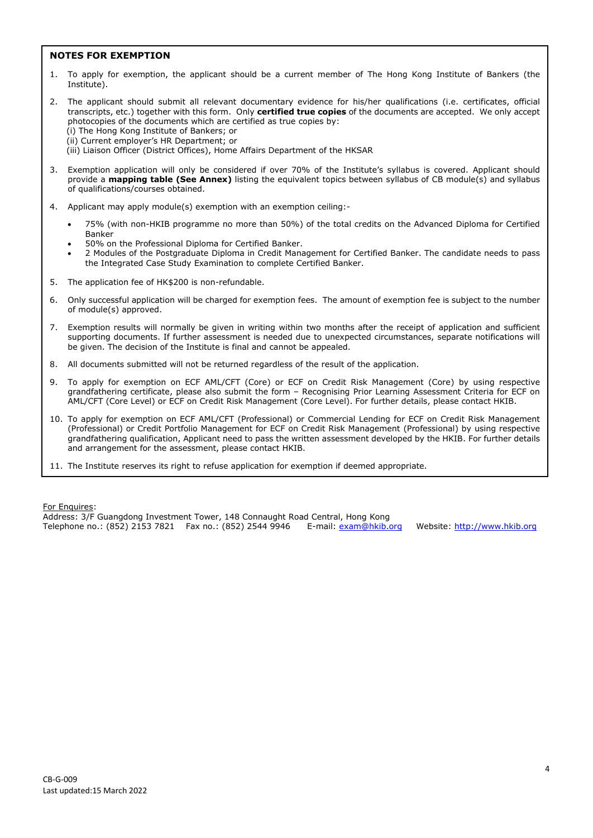#### **NOTES FOR EXEMPTION**

- 1. To apply for exemption, the applicant should be a current member of The Hong Kong Institute of Bankers (the Institute).
- 2. The applicant should submit all relevant documentary evidence for his/her qualifications (i.e. certificates, official transcripts, etc.) together with this form. Only **certified true copies** of the documents are accepted. We only accept photocopies of the documents which are certified as true copies by: (i) The Hong Kong Institute of Bankers; or (ii) Current employer's HR Department; or
	- (iii) Liaison Officer (District Offices), Home Affairs Department of the HKSAR
- 3. Exemption application will only be considered if over 70% of the Institute's syllabus is covered. Applicant should provide a **mapping table (See Annex)** listing the equivalent topics between syllabus of CB module(s) and syllabus of qualifications/courses obtained.
- 4. Applicant may apply module(s) exemption with an exemption ceiling:-
	- 75% (with non-HKIB programme no more than 50%) of the total credits on the Advanced Diploma for Certified Banker
	- 50% on the Professional Diploma for Certified Banker.
	- 2 Modules of the Postgraduate Diploma in Credit Management for Certified Banker. The candidate needs to pass the Integrated Case Study Examination to complete Certified Banker.
- 5. The application fee of HK\$200 is non-refundable.
- 6. Only successful application will be charged for exemption fees. The amount of exemption fee is subject to the number of module(s) approved.
- 7. Exemption results will normally be given in writing within two months after the receipt of application and sufficient supporting documents. If further assessment is needed due to unexpected circumstances, separate notifications will be given. The decision of the Institute is final and cannot be appealed.
- 8. All documents submitted will not be returned regardless of the result of the application.
- 9. To apply for exemption on ECF AML/CFT (Core) or ECF on Credit Risk Management (Core) by using respective grandfathering certificate, please also submit the form – Recognising Prior Learning Assessment Criteria for ECF on AML/CFT (Core Level) or ECF on Credit Risk Management (Core Level). For further details, please contact HKIB.
- 10. To apply for exemption on ECF AML/CFT (Professional) or Commercial Lending for ECF on Credit Risk Management (Professional) or Credit Portfolio Management for ECF on Credit Risk Management (Professional) by using respective grandfathering qualification, Applicant need to pass the written assessment developed by the HKIB. For further details and arrangement for the assessment, please contact HKIB.
- 11. The Institute reserves its right to refuse application for exemption if deemed appropriate.

For Enquires:

Address: 3/F Guangdong Investment Tower, 148 Connaught Road Central, Hong Kong Telephone no.: (852) 2153 7821 Fax no.: (852) 2544 9946 E-mail[: exam@hkib.org](mailto:exam@hkib.org) Website: [http://www.hkib.org](http://www.hkib.org/)